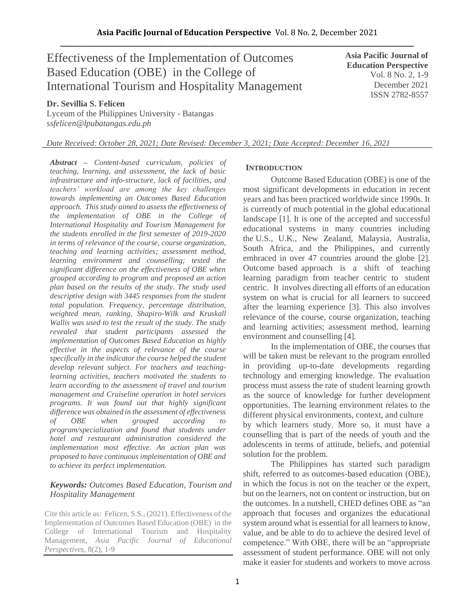# Effectiveness of the Implementation of Outcomes Based Education (OBE) in the College of International Tourism and Hospitality Management

**Asia Pacific Journal of Education Perspective**  Vol. 8 No. 2, 1-9 December 2021 ISSN 2782-8557

# **Dr. Sevillia S. Felicen**

Lyceum of the Philippines University - Batangas *ssfelicen@lpubatangas.edu.ph*

# *Date Received: October 28, 2021; Date Revised: December 3, 2021; Date Accepted: December 16, 2021*

*Abstract – Content-based curriculum, policies of teaching, learning, and assessment, the lack of basic infrastructure and info-structure, lack of facilities, and teachers' workload are among the key challenges towards implementing an Outcomes Based Education approach. This study aimed to assess the effectiveness of the implementation of OBE in the College of International Hospitality and Tourism Management for the students enrolled in the first semester of 2019-2020 in terms of relevance of the course, course organization, teaching and learning activities; assessment method, learning environment and counselling; tested the significant difference on the effectiveness of OBE when grouped according to program and proposed an action plan based on the results of the study. The study used descriptive design with 3445 responses from the student total population. Frequency, percentage distribution, weighted mean, ranking, Shapiro-Wilk and Kruskall Wallis was used to test the result of the study. The study revealed that student participants assessed the implementation of Outcomes Based Education as highly effective in the aspects of relevance of the course specifically in the indicator the course helped the student develop relevant subject. For teachers and teachinglearning activities, teachers motivated the students to learn according to the assessment of travel and tourism management and Cruiseline operation in hotel services programs. It was found out that highly significant difference was obtained in the assessment of effectiveness of OBE when grouped according to program/specialization and found that students under hotel and restaurant administration considered the implementation most effective. An action plan was proposed to have continuous implementation of OBE and to achieve its perfect implementation.*

#### *Keywords: Outcomes Based Education, Tourism and Hospitality Management*

Cite this article as: Felicen, S.S., (2021). Effectiveness of the Implementation of Outcomes Based Education (OBE) in the College of International Tourism and Hospitality Management, *Asia Pacific Journal of Educational Perspectives,* 8(2), 1-9

# **INTRODUCTION**

Outcome Based Education (OBE) is one of the most significant developments in education in recent years and has been practiced worldwide since 1990s. It is currently of much potential in the global educational landscape [1]. It is one of the accepted and successful educational systems in many countries including the U.S., U.K., New Zealand, Malaysia, Australia, South Africa, and the Philippines, and currently embraced in over 47 countries around the globe [2]. Outcome based approach is a shift of teaching learning paradigm from teacher centric to student centric. It involves directing all efforts of an education system on what is crucial for all learners to succeed after the learning experience [3]. This also involves relevance of the course, course organization, teaching and learning activities; assessment method, learning environment and counselling [4].

In the implementation of OBE, the courses that will be taken must be relevant to the program enrolled in providing up-to-date developments regarding technology and emerging knowledge. The evaluation process must assess the rate of student learning growth as the source of knowledge for further development opportunities. The learning environment relates to the different physical environments, context, and culture by which learners study. More so, it must have a counselling that is part of the needs of youth and the adolescents in terms of attitude, beliefs, and potential solution for the problem.

The Philippines has started such paradigm shift, referred to as outcomes-based education (OBE), in which the focus is not on the teacher or the expert, but on the learners, not on content or instruction, but on the outcomes. In a nutshell, CHED defines OBE as "an approach that focuses and organizes the educational system around what is essential for all learners to know, value, and be able to do to achieve the desired level of competence." With OBE, there will be an "appropriate assessment of student performance. OBE will not only make it easier for students and workers to move across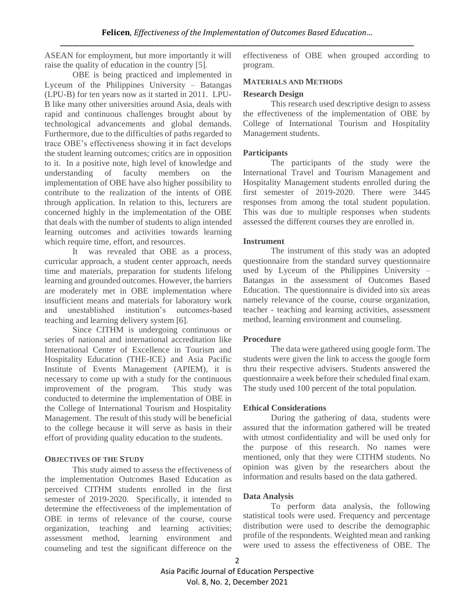ASEAN for employment, but more importantly it will raise the quality of education in the country [5].

OBE is being practiced and implemented in Lyceum of the Philippines University – Batangas (LPU-B) for ten years now as it started in 2011. LPU-B like many other universities around Asia, deals with rapid and continuous challenges brought about by technological advancements and global demands. Furthermore, due to the difficulties of paths regarded to trace OBE's effectiveness showing it in fact develops the student learning outcomes; critics are in opposition to it.In a positive note, high level of knowledge and understanding of faculty members on the implementation of OBE have also higher possibility to contribute to the realization of the intents of OBE through application. In relation to this, lecturers are concerned highly in the implementation of the OBE that deals with the number of students to align intended learning outcomes and activities towards learning which require time, effort, and resources.

It was revealed that OBE as a process, curricular approach, a student center approach, needs time and materials, preparation for students lifelong learning and grounded outcomes. However, the barriers are moderately met in OBE implementation where insufficient means and materials for laboratory work and unestablished institution's outcomes-based teaching and learning delivery system [6].

Since CITHM is undergoing continuous or series of national and international accreditation like International Center of Excellence in Tourism and Hospitality Education (THE-ICE) and Asia Pacific Institute of Events Management (APIEM), it is necessary to come up with a study for the continuous improvement of the program. This study was conducted to determine the implementation of OBE in the College of International Tourism and Hospitality Management. The result of this study will be beneficial to the college because it will serve as basis in their effort of providing quality education to the students.

## **OBJECTIVES OF THE STUDY**

This study aimed to assess the effectiveness of the implementation Outcomes Based Education as perceived CITHM students enrolled in the first semester of 2019-2020. Specifically, it intended to determine the effectiveness of the implementation of OBE in terms of relevance of the course, course organization, teaching and learning activities; assessment method, learning environment and counseling and test the significant difference on the effectiveness of OBE when grouped according to program.

#### **MATERIALS AND METHODS**

#### **Research Design**

This research used descriptive design to assess the effectiveness of the implementation of OBE by College of International Tourism and Hospitality Management students.

#### **Participants**

The participants of the study were the International Travel and Tourism Management and Hospitality Management students enrolled during the first semester of 2019-2020. There were 3445 responses from among the total student population. This was due to multiple responses when students assessed the different courses they are enrolled in.

#### **Instrument**

The instrument of this study was an adopted questionnaire from the standard survey questionnaire used by Lyceum of the Philippines University – Batangas in the assessment of Outcomes Based Education. The questionnaire is divided into six areas namely relevance of the course, course organization, teacher - teaching and learning activities, assessment method, learning environment and counseling.

#### **Procedure**

The data were gathered using google form. The students were given the link to access the google form thru their respective advisers. Students answered the questionnaire a week before their scheduled final exam. The study used 100 percent of the total population.

#### **Ethical Considerations**

During the gathering of data, students were assured that the information gathered will be treated with utmost confidentiality and will be used only for the purpose of this research. No names were mentioned, only that they were CITHM students. No opinion was given by the researchers about the information and results based on the data gathered.

## **Data Analysis**

To perform data analysis, the following statistical tools were used. Frequency and percentage distribution were used to describe the demographic profile of the respondents. Weighted mean and ranking were used to assess the effectiveness of OBE. The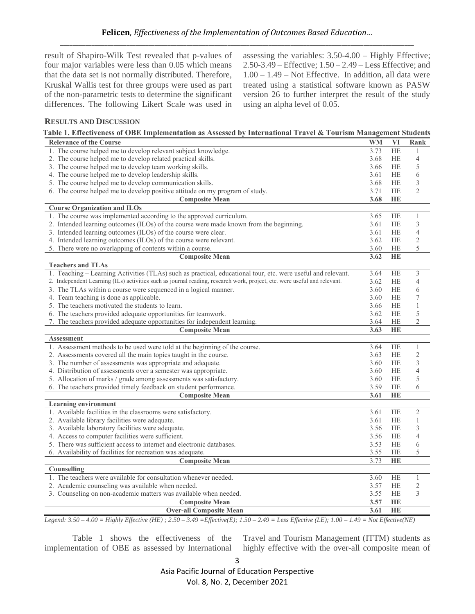result of Shapiro-Wilk Test revealed that p-values of four major variables were less than 0.05 which means that the data set is not normally distributed. Therefore, Kruskal Wallis test for three groups were used as part of the non-parametric tests to determine the significant differences. The following Likert Scale was used in assessing the variables: 3.50-4.00 – Highly Effective; 2.50-3.49 – Effective; 1.50 – 2.49 – Less Effective; and 1.00 – 1.49 – Not Effective. In addition, all data were treated using a statistical software known as PASW version 26 to further interpret the result of the study using an alpha level of 0.05.

# **RESULTS AND DISCUSSION**

| <b>Relevance of the Course</b>                                                                                           | <b>WM</b> | VI        | Rank           |
|--------------------------------------------------------------------------------------------------------------------------|-----------|-----------|----------------|
| 1. The course helped me to develop relevant subject knowledge.                                                           | 3.73      | <b>HE</b> | 1              |
| 2. The course helped me to develop related practical skills.                                                             | 3.68      | <b>HE</b> | $\overline{4}$ |
| 3. The course helped me to develop team working skills.                                                                  | 3.66      | <b>HE</b> | 5              |
| 4. The course helped me to develop leadership skills.                                                                    | 3.61      | <b>HE</b> | 6              |
| 5. The course helped me to develop communication skills.                                                                 | 3.68      | <b>HE</b> | 3              |
| 6. The course helped me to develop positive attitude on my program of study.                                             | 3.71      | HE        | $\overline{2}$ |
| <b>Composite Mean</b>                                                                                                    | 3.68      | HE        |                |
| <b>Course Organization and ILOs</b>                                                                                      |           |           |                |
| 1. The course was implemented according to the approved curriculum.                                                      | 3.65      | <b>HE</b> | 1              |
| 2. Intended learning outcomes (ILOs) of the course were made known from the beginning.                                   | 3.61      | <b>HE</b> | 3              |
| 3. Intended learning outcomes (ILOs) of the course were clear.                                                           | 3.61      | <b>HE</b> | $\overline{4}$ |
| 4. Intended learning outcomes (ILOs) of the course were relevant.                                                        | 3.62      | <b>HE</b> | 2              |
| 5. There were no overlapping of contents within a course.                                                                | 3.60      | <b>HE</b> | 5              |
| <b>Composite Mean</b>                                                                                                    | 3.62      | HE        |                |
| <b>Teachers and TLAs</b>                                                                                                 |           |           |                |
| 1. Teaching - Learning Activities (TLAs) such as practical, educational tour, etc. were useful and relevant.             | 3.64      | <b>HE</b> | 3              |
| 2. Independent Learning (ILs) activities such as journal reading, research work, project, etc. were useful and relevant. | 3.62      | <b>HE</b> | 4              |
| 3. The TLAs within a course were sequenced in a logical manner.                                                          | 3.60      | <b>HE</b> | 6              |
| 4. Team teaching is done as applicable.                                                                                  | 3.60      | <b>HE</b> | 7              |
| 5. The teachers motivated the students to learn.                                                                         | 3.66      | <b>HE</b> | 1              |
| 6. The teachers provided adequate opportunities for teamwork.                                                            | 3.62      | <b>HE</b> | 5              |
| 7. The teachers provided adequate opportunities for independent learning.                                                | 3.64      | HE        | $\overline{2}$ |
| <b>Composite Mean</b>                                                                                                    | 3.63      | <b>HE</b> |                |
| <b>Assessment</b>                                                                                                        |           |           |                |
| 1. Assessment methods to be used were told at the beginning of the course.                                               | 3.64      | HE        | $\mathbf{1}$   |
| 2. Assessments covered all the main topics taught in the course.                                                         | 3.63      | HE        | $\mathbf{2}$   |
| 3. The number of assessments was appropriate and adequate.                                                               | 3.60      | <b>HE</b> | $\mathfrak{Z}$ |
| 4. Distribution of assessments over a semester was appropriate.                                                          | 3.60      | HE        | 4              |
| 5. Allocation of marks / grade among assessments was satisfactory.                                                       | 3.60      | HE        | 5              |
| 6. The teachers provided timely feedback on student performance.                                                         | 3.59      | HE        | 6              |
| <b>Composite Mean</b>                                                                                                    | 3.61      | HE        |                |
| <b>Learning environment</b>                                                                                              |           |           |                |
| 1. Available facilities in the classrooms were satisfactory.                                                             | 3.61      | <b>HE</b> | $\mathfrak{2}$ |
| 2. Available library facilities were adequate.                                                                           | 3.61      | <b>HE</b> | $\mathbf{1}$   |
| 3. Available laboratory facilities were adequate.                                                                        | 3.56      | <b>HE</b> | 3              |
| 4. Access to computer facilities were sufficient.                                                                        | 3.56      | <b>HE</b> | $\overline{4}$ |
| 5. There was sufficient access to internet and electronic databases.                                                     | 3.53      | HE        | 6              |
| 6. Availability of facilities for recreation was adequate.                                                               | 3.55      | HE        | 5              |
| <b>Composite Mean</b>                                                                                                    | 3.73      | HE        |                |
| Counselling                                                                                                              |           |           |                |
| 1. The teachers were available for consultation whenever needed.                                                         | 3.60      | HE        | 1              |
| 2. Academic counseling was available when needed.                                                                        | 3.57      | HE        | $\mathfrak{2}$ |
| 3. Counseling on non-academic matters was available when needed.                                                         | 3.55      | <b>HE</b> | 3              |
| <b>Composite Mean</b>                                                                                                    | 3.57      | HE        |                |
| <b>Over-all Composite Mean</b>                                                                                           | 3.61      | HE        |                |

*Legend: 3.50 – 4.00 = Highly Effective (HE) ; 2.50 – 3.49 =Effective(E); 1.50 – 2.49 = Less Effective (LE); 1.00 – 1.49 = Not Effective(NE)*

Table 1 shows the effectiveness of the implementation of OBE as assessed by International Travel and Tourism Management (ITTM) students as highly effective with the over-all composite mean of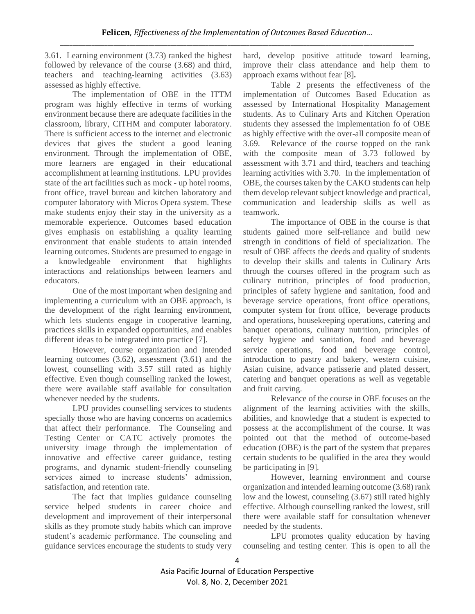3.61. Learning environment (3.73) ranked the highest followed by relevance of the course (3.68) and third, teachers and teaching-learning activities (3.63) assessed as highly effective.

The implementation of OBE in the ITTM program was highly effective in terms of working environment because there are adequate facilities in the classroom, library, CITHM and computer laboratory. There is sufficient access to the internet and electronic devices that gives the student a good leaning environment. Through the implementation of OBE, more learners are engaged in their educational accomplishment at learning institutions. LPU provides state of the art facilities such as mock - up hotel rooms, front office, travel bureau and kitchen laboratory and computer laboratory with Micros Opera system. These make students enjoy their stay in the university as a memorable experience. Outcomes based education gives emphasis on establishing a quality learning environment that enable students to attain intended learning outcomes. Students are presumed to engage in a knowledgeable environment that highlights interactions and relationships between learners and educators.

One of the most important when designing and implementing a curriculum with an OBE approach, is the development of the right learning environment, which lets students engage in cooperative learning, practices skills in expanded opportunities, and enables different ideas to be integrated into practice [7].

However, course organization and Intended learning outcomes (3.62), assessment (3.61) and the lowest, counselling with 3.57 still rated as highly effective. Even though counselling ranked the lowest, there were available staff available for consultation whenever needed by the students.

LPU provides counselling services to students specially those who are having concerns on academics that affect their performance. The Counseling and Testing Center or CATC actively promotes the university image through the implementation of innovative and effective career guidance, testing programs, and dynamic student-friendly counseling services aimed to increase students' admission, satisfaction, and retention rate.

The fact that implies guidance counseling service helped students in career choice and development and improvement of their interpersonal skills as they promote study habits which can improve student's academic performance. The counseling and guidance services encourage the students to study very hard, develop positive attitude toward learning, improve their class attendance and help them to approach exams without fear [8]**.**

Table 2 presents the effectiveness of the implementation of Outcomes Based Education as assessed by International Hospitality Management students. As to Culinary Arts and Kitchen Operation students they assessed the implementation fo of OBE as highly effective with the over-all composite mean of 3.69. Relevance of the course topped on the rank with the composite mean of 3.73 followed by assessment with 3.71 and third, teachers and teaching learning activities with 3.70. In the implementation of OBE, the courses taken by the CAKO students can help them develop relevant subject knowledge and practical, communication and leadership skills as well as teamwork.

The importance of OBE in the course is that students gained more self-reliance and build new strength in conditions of field of specialization. The result of OBE affects the deeds and quality of students to develop their skills and talents in Culinary Arts through the courses offered in the program such as culinary nutrition, principles of food production, principles of safety hygiene and sanitation, food and beverage service operations, front office operations, computer system for front office, beverage products and operations, housekeeping operations, catering and banquet operations, culinary nutrition, principles of safety hygiene and sanitation, food and beverage service operations, food and beverage control, introduction to pastry and bakery, western cuisine, Asian cuisine, advance patisserie and plated dessert, catering and banquet operations as well as vegetable and fruit carving.

Relevance of the course in OBE focuses on the alignment of the learning activities with the skills, abilities, and knowledge that a student is expected to possess at the accomplishment of the course. It was pointed out that the method of outcome-based education (OBE) is the part of the system that prepares certain students to be qualified in the area they would be participating in [9].

However, learning environment and course organization and intended learning outcome (3.68) rank low and the lowest, counseling (3.67) still rated highly effective. Although counselling ranked the lowest, still there were available staff for consultation whenever needed by the students.

LPU promotes quality education by having counseling and testing center. This is open to all the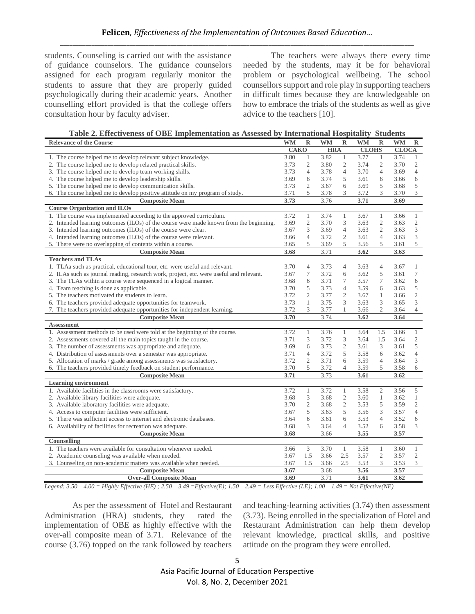students. Counseling is carried out with the assistance of guidance counselors. The guidance counselors assigned for each program regularly monitor the students to assure that they are properly guided psychologically during their academic years. Another counselling effort provided is that the college offers consultation hour by faculty adviser.

The teachers were always there every time needed by the students, may it be for behavioral problem or psychological wellbeing. The school counsellors support and role play in supporting teachers in difficult times because they are knowledgeable on how to embrace the trials of the students as well as give advice to the teachers [10].

| <b>Relevance of the Course</b>                                                          | <b>WM</b> | $\mathbb{R}$   | <b>WM</b> | $\mathbb{R}$   | <b>WM</b>    | $\mathbb{R}$   | <b>WM</b>    | $\mathbb R$                 |
|-----------------------------------------------------------------------------------------|-----------|----------------|-----------|----------------|--------------|----------------|--------------|-----------------------------|
|                                                                                         |           | <b>CAKO</b>    |           | <b>HRA</b>     | <b>CLOHS</b> |                | <b>CLOCA</b> |                             |
| 1. The course helped me to develop relevant subject knowledge.                          | 3.80      | $\mathbf{1}$   | 3.82      | $\mathbf{1}$   | 3.77         | $\mathbf{1}$   | 3.74         | $\mathbf{1}$                |
| 2. The course helped me to develop related practical skills.                            | 3.73      | $\mathbf{2}$   | 3.80      | $\mathfrak{2}$ | 3.74         | $\mathbf{2}$   | 3.70         | $\overline{\mathbf{c}}$     |
| 3. The course helped me to develop team working skills.                                 | 3.73      | $\overline{4}$ | 3.78      | $\overline{4}$ | 3.70         | $\overline{4}$ | 3.69         | $\overline{4}$              |
| 4. The course helped me to develop leadership skills.                                   | 3.69      | 6              | 3.74      | 5              | 3.61         | 6              | 3.66         | 6                           |
| 5. The course helped me to develop communication skills.                                | 3.73      | $\overline{2}$ | 3.67      | 6              | 3.69         | 5              | 3.68         | $\,$ 5 $\,$                 |
| 6. The course helped me to develop positive attitude on my program of study.            | 3.71      | 5              | 3.78      | 3              | 3.72         | 3              | 3.70         | $\mathfrak{Z}$              |
| <b>Composite Mean</b>                                                                   | 3.73      |                | 3.76      |                | 3.71         |                | 3.69         |                             |
| <b>Course Organization and ILOs</b>                                                     |           |                |           |                |              |                |              |                             |
| 1. The course was implemented according to the approved curriculum.                     | 3.72      | $\mathbf{1}$   | 3.74      | $\mathbf{1}$   | 3.67         | $\mathbf{1}$   | 3.66         | $\mathbf{1}$                |
| 2. Intended learning outcomes (ILOs) of the course were made known from the beginning.  | 3.69      | 2              | 3.70      | 3              | 3.63         | $\overline{c}$ | 3.63         | $\sqrt{2}$                  |
| 3. Intended learning outcomes (ILOs) of the course were clear.                          | 3.67      | 3              | 3.69      | $\overline{4}$ | 3.63         | $\overline{2}$ | 3.63         | $\mathfrak{Z}$              |
| 4. Intended learning outcomes (ILOs) of the course were relevant.                       | 3.66      | $\overline{4}$ | 3.72      | $\mathfrak{2}$ | 3.61         | $\overline{4}$ | 3.63         | 3                           |
| 5. There were no overlapping of contents within a course.                               | 3.65      | 5              | 3.69      | 5              | 3.56         | 5              | 3.61         | 5                           |
| <b>Composite Mean</b>                                                                   | 3.68      |                | 3.71      |                | 3.62         |                | 3.63         |                             |
| <b>Teachers and TLAs</b>                                                                |           |                |           |                |              |                |              |                             |
| 1. TLAa such as practical, educational tour, etc. were useful and relevant.             | 3.70      | $\overline{4}$ | 3.73      | $\overline{4}$ | 3.63         | $\overline{4}$ | 3.67         | $\mathbf{1}$                |
| 2. ILAs such as journal reading, research work, project, etc. were useful and relevant. | 3.67      | 7              | 3.72      | 6              | 3.62         | 5              | 3.61         | $\boldsymbol{7}$            |
| 3. The TLAs within a course were sequenced in a logical manner.                         | 3.68      | 6              | 3.71      | 7              | 3.57         | 7              | 3.62         | 6                           |
| 4. Team teaching is done as applicable.                                                 | 3.70      | 5              | 3.73      | $\overline{4}$ | 3.59         | 6              | 3.63         | $\,$ 5 $\,$                 |
| 5. The teachers motivated the students to learn.                                        | 3.72      | $\overline{2}$ | 3.77      | 2              | 3.67         | 1              | 3.66         | $\sqrt{2}$                  |
| 6. The teachers provided adequate opportunities for teamwork.                           | 3.73      | $\mathbf{1}$   | 3.75      | 3              | 3.63         | 3              | 3.65         | $\ensuremath{\mathfrak{Z}}$ |
| 7. The teachers provided adequate opportunities for independent learning.               | 3.72      | 3              | 3.77      |                | 3.66         | $\overline{2}$ | 3.64         | $\overline{4}$              |
| <b>Composite Mean</b>                                                                   | 3.70      |                | 3.74      |                | 3.62         |                | 3.64         |                             |
| <b>Assessment</b>                                                                       |           |                |           |                |              |                |              |                             |
| 1. Assessment methods to be used were told at the beginning of the course.              | 3.72      | $\mathbf{1}$   | 3.76      | 1              | 3.64         | 1.5            | 3.66         | $\mathbf{1}$                |
| 2. Assessments covered all the main topics taught in the course.                        | 3.71      | 3              | 3.72      | 3              | 3.64         | 1.5            | 3.64         | $\overline{c}$              |
| 3. The number of assessments was appropriate and adequate.                              | 3.69      | 6              | 3.73      | $\mathfrak{2}$ | 3.61         | 3              | 3.61         | $\sqrt{5}$                  |
| 4. Distribution of assessments over a semester was appropriate.                         | 3.71      | $\overline{4}$ | 3.72      | 5              | 3.58         | 6              | 3.62         | $\overline{4}$              |
| 5. Allocation of marks / grade among assessments was satisfactory.                      | 3.72      | $\sqrt{2}$     | 3.71      | 6              | 3.59         | $\overline{4}$ | 3.64         | 3                           |
| 6. The teachers provided timely feedback on student performance.                        | 3.70      | 5              | 3.72      | 4              | 3.59         | 5              | 3.58         | 6                           |
| <b>Composite Mean</b>                                                                   | 3.71      |                | 3.73      |                | 3.61         |                | 3.62         |                             |
| <b>Learning environment</b>                                                             |           |                |           |                |              |                |              |                             |
| 1. Available facilities in the classrooms were satisfactory.                            | 3.72      | $\mathbf{1}$   | 3.72      | $\mathbf{1}$   | 3.58         | $\sqrt{2}$     | 3.56         | 5                           |
| 2. Available library facilities were adequate.                                          | 3.68      | 3              | 3.68      | $\mathfrak{2}$ | 3.60         | 1              | 3.62         | $\mathbf{1}$                |
| 3. Available laboratory facilities were adequate.                                       | 3.70      | 2              | 3.68      | $\mathfrak{2}$ | 3.53         | 5              | 3.59         | $\sqrt{2}$                  |
| 4. Access to computer facilities were sufficient.                                       | 3.67      | 5              | 3.63      | 5              | 3.56         | 3              | 3.57         | $\overline{4}$              |
| 5. There was sufficient access to internet and electronic databases.                    | 3.64      | 6              | 3.61      | 6              | 3.53         | 4              | 3.52         | 6                           |
| 6. Availability of facilities for recreation was adequate.                              | 3.68      | 3              | 3.64      | $\overline{4}$ | 3.52         | 6              | 3.58         | 3                           |
| <b>Composite Mean</b>                                                                   | 3.68      |                | 3.66      |                | 3.55         |                | 3.57         |                             |
| Counselling                                                                             |           |                |           |                |              |                |              |                             |
| 1. The teachers were available for consultation whenever needed.                        | 3.66      | 3              | 3.70      | 1              | 3.58         | $\mathbf{1}$   | 3.60         | $\mathbf{1}$                |
| 2. Academic counseling was available when needed.                                       | 3.67      | 1.5            | 3.66      | 2.5            | 3.57         | $\overline{c}$ | 3.57         | $\mathfrak{2}$              |
| 3. Counseling on non-academic matters was available when needed.                        | 3.67      | 1.5            | 3.66      | 2.5            | 3.53         | 3              | 3.53         | 3 <sup>7</sup>              |
| <b>Composite Mean</b>                                                                   | 3.67      |                | 3.68      |                | 3.56         |                | 3.57         |                             |
| <b>Over-all Composite Mean</b>                                                          | 3.69      |                | 3.71      |                | 3.61         |                | 3.62         |                             |

*Legend: 3.50 – 4.00 = Highly Effective (HE) ; 2.50 – 3.49 =Effective(E); 1.50 – 2.49 = Less Effective (LE); 1.00 – 1.49 = Not Effective(NE)*

As per the assessment of Hotel and Restaurant Administration (HRA) students, they rated the implementation of OBE as highly effective with the over-all composite mean of 3.71. Relevance of the course (3.76) topped on the rank followed by teachers

and teaching-learning activities (3.74) then assessment (3.73). Being enrolled in the specialization of Hotel and Restaurant Administration can help them develop relevant knowledge, practical skills, and positive attitude on the program they were enrolled.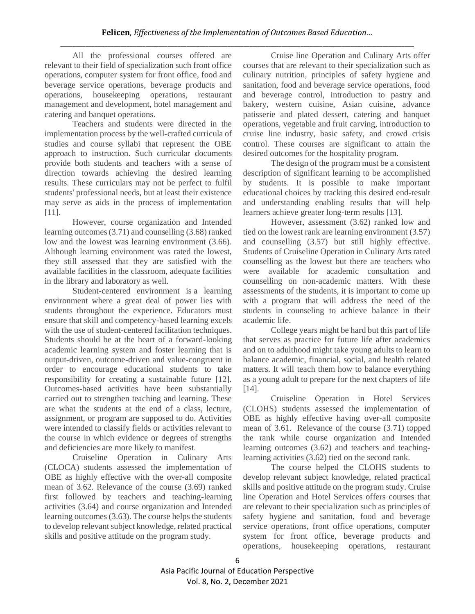All the professional courses offered are relevant to their field of specialization such front office operations, computer system for front office, food and beverage service operations, beverage products and operations, housekeeping operations, restaurant management and development, hotel management and catering and banquet operations.

Teachers and students were directed in the implementation process by the well-crafted curricula of studies and course syllabi that represent the OBE approach to instruction. Such curricular documents provide both students and teachers with a sense of direction towards achieving the desired learning results. These curriculars may not be perfect to fulfil students' professional needs, but at least their existence may serve as aids in the process of implementation [11].

However, course organization and Intended learning outcomes (3.71) and counselling (3.68) ranked low and the lowest was learning environment (3.66). Although learning environment was rated the lowest, they still assessed that they are satisfied with the available facilities in the classroom, adequate facilities in the library and laboratory as well.

Student-centered environment is a learning environment where a great deal of power lies with students throughout the experience. Educators must ensure that skill and competency-based learning excels with the use of student-centered facilitation techniques. Students should be at the heart of a forward-looking academic learning system and foster learning that is output-driven, outcome-driven and value-congruent in order to encourage educational students to take responsibility for creating a sustainable future [12]. Outcomes-based activities have been substantially carried out to strengthen teaching and learning. These are what the students at the end of a class, lecture, assignment, or program are supposed to do. Activities were intended to classify fields or activities relevant to the course in which evidence or degrees of strengths and deficiencies are more likely to manifest.

Cruiseline Operation in Culinary Arts (CLOCA) students assessed the implementation of OBE as highly effective with the over-all composite mean of 3.62. Relevance of the course (3.69) ranked first followed by teachers and teaching-learning activities (3.64) and course organization and Intended learning outcomes (3.63). The course helps the students to develop relevant subject knowledge, related practical skills and positive attitude on the program study.

Cruise line Operation and Culinary Arts offer courses that are relevant to their specialization such as culinary nutrition, principles of safety hygiene and sanitation, food and beverage service operations, food and beverage control, introduction to pastry and bakery, western cuisine, Asian cuisine, advance patisserie and plated dessert, catering and banquet operations, vegetable and fruit carving, introduction to cruise line industry, basic safety, and crowd crisis control. These courses are significant to attain the desired outcomes for the hospitality program.

The design of the program must be a consistent description of significant learning to be accomplished by students. It is possible to make important educational choices by tracking this desired end-result and understanding enabling results that will help learners achieve greater long-term results [13].

However, assessment (3.62) ranked low and tied on the lowest rank are learning environment (3.57) and counselling (3.57) but still highly effective. Students of Cruiseline Operation in Culinary Arts rated counselling as the lowest but there are teachers who were available for academic consultation and counselling on non-academic matters. With these assessments of the students, it is important to come up with a program that will address the need of the students in counseling to achieve balance in their academic life.

College years might be hard but this part of life that serves as practice for future life after academics and on to adulthood might take young adults to learn to balance academic, financial, social, and health related matters. It will teach them how to balance everything as a young adult to prepare for the next chapters of life [14].

Cruiseline Operation in Hotel Services (CLOHS) students assessed the implementation of OBE as highly effective having over-all composite mean of 3.61. Relevance of the course (3.71) topped the rank while course organization and Intended learning outcomes (3.62) and teachers and teachinglearning activities (3.62) tied on the second rank.

The course helped the CLOHS students to develop relevant subject knowledge, related practical skills and positive attitude on the program study. Cruise line Operation and Hotel Services offers courses that are relevant to their specialization such as principles of safety hygiene and sanitation, food and beverage service operations, front office operations, computer system for front office, beverage products and operations, housekeeping operations, restaurant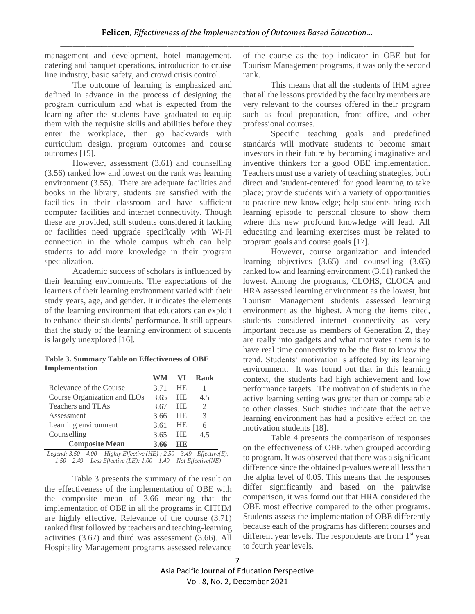management and development, hotel management, catering and banquet operations, introduction to cruise line industry, basic safety, and crowd crisis control.

The outcome of learning is emphasized and defined in advance in the process of designing the program curriculum and what is expected from the learning after the students have graduated to equip them with the requisite skills and abilities before they enter the workplace, then go backwards with curriculum design, program outcomes and course outcomes [15].

However, assessment (3.61) and counselling (3.56) ranked low and lowest on the rank was learning environment (3.55). There are adequate facilities and books in the library, students are satisfied with the facilities in their classroom and have sufficient computer facilities and internet connectivity. Though these are provided, still students considered it lacking or facilities need upgrade specifically with Wi-Fi connection in the whole campus which can help students to add more knowledge in their program specialization.

Academic success of scholars is influenced by their learning environments. The expectations of the learners of their learning environment varied with their study years, age, and gender. It indicates the elements of the learning environment that educators can exploit to enhance their students' performance. It still appears that the study of the learning environment of students is largely unexplored [16].

**Table 3. Summary Table on Effectiveness of OBE Implementation**

|                              |      |           | Rank |
|------------------------------|------|-----------|------|
| Relevance of the Course      | 3.71 | <b>HE</b> |      |
| Course Organization and ILOs | 3.65 | <b>HE</b> | 4.5  |
| Teachers and TLAs            | 3.67 | HE.       |      |
| Assessment                   | 3.66 | <b>HE</b> |      |
| Learning environment         | 3.61 | HE        |      |
| Counselling                  | 3.65 | НE        | 45   |
| <b>Composite Mean</b>        | 3.66 |           |      |

*Legend: 3.50 – 4.00 = Highly Effective (HE) ; 2.50 – 3.49 =Effective(E); 1.50 – 2.49 = Less Effective (LE); 1.00 – 1.49 = Not Effective(NE)*

Table 3 presents the summary of the result on the effectiveness of the implementation of OBE with the composite mean of 3.66 meaning that the implementation of OBE in all the programs in CITHM are highly effective. Relevance of the course (3.71) ranked first followed by teachers and teaching-learning activities (3.67) and third was assessment (3.66). All Hospitality Management programs assessed relevance of the course as the top indicator in OBE but for Tourism Management programs, it was only the second rank.

This means that all the students of IHM agree that all the lessons provided by the faculty members are very relevant to the courses offered in their program such as food preparation, front office, and other professional courses.

Specific teaching goals and predefined standards will motivate students to become smart investors in their future by becoming imaginative and inventive thinkers for a good OBE implementation. Teachers must use a variety of teaching strategies, both direct and 'student-centered' for good learning to take place; provide students with a variety of opportunities to practice new knowledge; help students bring each learning episode to personal closure to show them where this new profound knowledge will lead. All educating and learning exercises must be related to program goals and course goals [17].

However, course organization and intended learning objectives (3.65) and counselling (3.65) ranked low and learning environment (3.61) ranked the lowest. Among the programs, CLOHS, CLOCA and HRA assessed learning environment as the lowest, but Tourism Management students assessed learning environment as the highest. Among the items cited, students considered internet connectivity as very important because as members of Generation Z, they are really into gadgets and what motivates them is to have real time connectivity to be the first to know the trend. Students' motivation is affected by its learning environment. It was found out that in this learning context, the students had high achievement and low performance targets. The motivation of students in the active learning setting was greater than or comparable to other classes. Such studies indicate that the active learning environment has had a positive effect on the motivation students [18].

Table 4 presents the comparison of responses on the effectiveness of OBE when grouped according to program. It was observed that there was a significant difference since the obtained p-values were all less than the alpha level of 0.05. This means that the responses differ significantly and based on the pairwise comparison, it was found out that HRA considered the OBE most effective compared to the other programs. Students assess the implementation of OBE differently because each of the programs has different courses and different year levels. The respondents are from  $1<sup>st</sup>$  year to fourth year levels.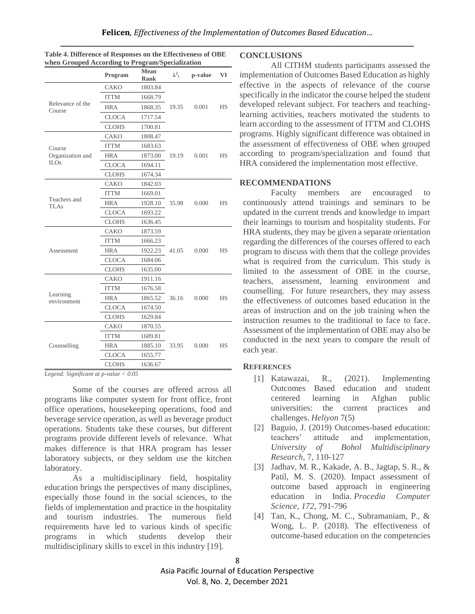|                             | Program      | Mean<br>Rank | $\lambda^2$ <sub>c</sub> | p-value | VI        |
|-----------------------------|--------------|--------------|--------------------------|---------|-----------|
| Relevance of the<br>Course  | CAKO         | 1803.84      |                          |         |           |
|                             | <b>ITTM</b>  | 1668.79      |                          |         |           |
|                             | <b>HRA</b>   | 1868.35      | 19.35                    | 0.001   | <b>HS</b> |
|                             | <b>CLOCA</b> | 1717.54      |                          |         |           |
|                             | <b>CLOHS</b> | 1700.81      |                          |         |           |
| Course                      | CAKO         | 1808.47      |                          |         |           |
|                             | <b>ITTM</b>  | 1683.63      |                          |         |           |
| Organization and            | <b>HRA</b>   | 1873.00      | 19.19                    | 0.001   | <b>HS</b> |
| <b>ILOs</b>                 | <b>CLOCA</b> | 1694.11      |                          |         |           |
|                             | <b>CLOHS</b> | 1674.34      |                          |         |           |
| Teachers and<br><b>TLAs</b> | CAKO         | 1842.03      |                          |         |           |
|                             | <b>ITTM</b>  | 1669.01      |                          |         |           |
|                             | <b>HRA</b>   | 1928.10      | 35.98                    | 0.000   | <b>HS</b> |
|                             | <b>CLOCA</b> | 1693.22      |                          |         |           |
|                             | <b>CLOHS</b> | 1636.45      |                          |         |           |
|                             | CAKO         | 1873.59      |                          |         |           |
|                             | <b>ITTM</b>  | 1666.23      |                          |         |           |
| Assessment                  | <b>HRA</b>   | 1922.23      | 41.05                    | 0.000   | <b>HS</b> |
|                             | <b>CLOCA</b> | 1684.06      |                          |         |           |
|                             | <b>CLOHS</b> | 1635.00      |                          |         |           |
| Learning<br>environment     | CAKO         | 1911.16      |                          |         |           |
|                             | <b>ITTM</b>  | 1676.58      |                          |         |           |
|                             | <b>HRA</b>   | 1865.52      | 36.16                    | 0.000   | <b>HS</b> |
|                             | <b>CLOCA</b> | 1674.50      |                          |         |           |
|                             | <b>CLOHS</b> | 1629.84      |                          |         |           |
| Counselling                 | CAKO         | 1870.55      |                          |         |           |
|                             | <b>ITTM</b>  | 1689.81      |                          |         |           |
|                             | <b>HRA</b>   | 1885.10      | 33.95                    | 0.000   | НS        |
|                             | <b>CLOCA</b> | 1655.77      |                          |         |           |
|                             | <b>CLOHS</b> | 1636.67      |                          |         |           |

**Table 4. Difference of Responses on the Effectiveness of OBE when Grouped According to Program/Specialization**

*Legend: Significant at p-value < 0.05*

Some of the courses are offered across all programs like computer system for front office, front office operations, housekeeping operations, food and beverage service operation, as well as beverage product operations. Students take these courses, but different programs provide different levels of relevance. What makes difference is that HRA program has lesser laboratory subjects, or they seldom use the kitchen laboratory.

As a multidisciplinary field, hospitality education brings the perspectives of many disciplines, especially those found in the social sciences, to the fields of implementation and practice in the hospitality and tourism industries. The numerous field requirements have led to various kinds of specific programs in which students develop their multidisciplinary skills to excel in this industry [19].

#### **CONCLUSIONS**

All CITHM students participants assessed the implementation of Outcomes Based Education as highly effective in the aspects of relevance of the course specifically in the indicator the course helped the student developed relevant subject. For teachers and teachinglearning activities, teachers motivated the students to learn according to the assessment of ITTM and CLOHS programs. Highly significant difference was obtained in the assessment of effectiveness of OBE when grouped according to program/specialization and found that HRA considered the implementation most effective.

### **RECOMMENDATIONS**

Faculty members are encouraged to continuously attend trainings and seminars to be updated in the current trends and knowledge to impart their learnings to tourism and hospitality students. For HRA students, they may be given a separate orientation regarding the differences of the courses offered to each program to discuss with them that the college provides what is required from the curriculum. This study is limited to the assessment of OBE in the course, teachers, assessment, learning environment and counselling. For future researchers, they may assess the effectiveness of outcomes based education in the areas of instruction and on the job training when the instruction resumes to the traditional to face to face. Assessment of the implementation of OBE may also be conducted in the next years to compare the result of each year.

## **REFERENCES**

- [1] Katawazai, R., (2021). Implementing Outcomes Based education and student centered learning in Afghan public universities: the current practices and challenges. *Heliyon* 7(5)
- [2] Baguio, J. (2019) Outcomes-based education: teachers' attitude and implementation, *University of Bohol Multidisciplinary Research*, 7, 110-127
- [3] Jadhav, M. R., Kakade, A. B., Jagtap, S. R., & Patil, M. S. (2020). Impact assessment of outcome based approach in engineering education in India. *Procedia Computer Science*, *172*, 791-796
- [4] Tan, K., Chong, M. C., Subramaniam, P., & Wong, L. P. (2018). The effectiveness of outcome-based education on the competencies